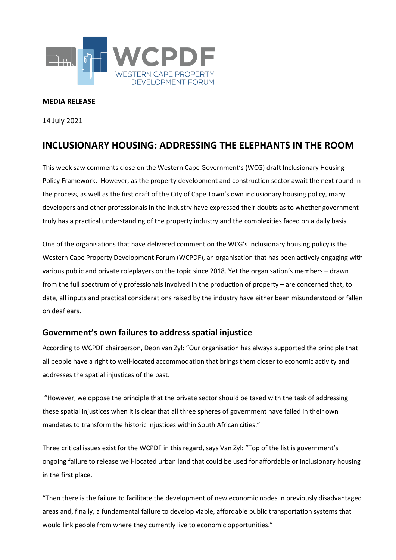

#### **MEDIA RELEASE**

14 July 2021

# **INCLUSIONARY HOUSING: ADDRESSING THE ELEPHANTS IN THE ROOM**

This week saw comments close on the Western Cape Government's (WCG) draft Inclusionary Housing Policy Framework. However, as the property development and construction sector await the next round in the process, as well as the first draft of the City of Cape Town's own inclusionary housing policy, many developers and other professionals in the industry have expressed their doubts as to whether government truly has a practical understanding of the property industry and the complexities faced on a daily basis.

One of the organisations that have delivered comment on the WCG's inclusionary housing policy is the Western Cape Property Development Forum (WCPDF), an organisation that has been actively engaging with various public and private roleplayers on the topic since 2018. Yet the organisation's members – drawn from the full spectrum of y professionals involved in the production of property – are concerned that, to date, all inputs and practical considerations raised by the industry have either been misunderstood or fallen on deaf ears.

### **Government's own failures to address spatial injustice**

According to WCPDF chairperson, Deon van Zyl: "Our organisation has always supported the principle that all people have a right to well-located accommodation that brings them closer to economic activity and addresses the spatial injustices of the past.

"However, we oppose the principle that the private sector should be taxed with the task of addressing these spatial injustices when it is clear that all three spheres of government have failed in their own mandates to transform the historic injustices within South African cities."

Three critical issues exist for the WCPDF in this regard, says Van Zyl: "Top of the list is government's ongoing failure to release well-located urban land that could be used for affordable or inclusionary housing in the first place.

"Then there is the failure to facilitate the development of new economic nodes in previously disadvantaged areas and, finally, a fundamental failure to develop viable, affordable public transportation systems that would link people from where they currently live to economic opportunities."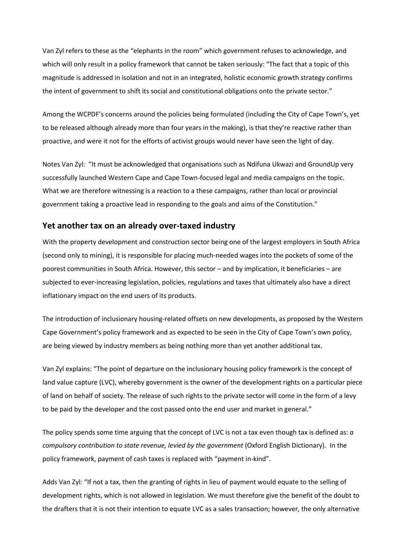Van Zyl refers to these as the "elephants in the room" which government refuses to acknowledge, and which will only result in a policy framework that cannot be taken seriously: "The fact that a topic of this magnitude is addressed in isolation and not in an integrated, holistic economic growth strategy confirms the intent of government to shift its social and constitutional obligations onto the private sector."

Among the WCPDF's concerns around the policies being formulated (including the City of Cape Town's, yet to be released although already more than four years in the making), is that they're reactive rather than proactive, and were it not for the efforts of activist groups would never have seen the light of day.

Notes Van Zyl: "It must be acknowledged that organisations such as Ndifuna Ukwazi and GroundUp very successfully launched Western Cape and Cape Town-focused legal and media campaigns on the topic. What we are therefore witnessing is a reaction to a these campaigns, rather than local or provincial government taking a proactive lead in responding to the goals and aims of the Constitution."

### **Yet another tax on an already over-taxed industry**

With the property development and construction sector being one of the largest employers in South Africa (second only to mining), it is responsible for placing much-needed wages into the pockets of some of the poorest communities in South Africa. However, this sector – and by implication, it beneficiaries – are subjected to ever-increasing legislation, policies, regulations and taxes that ultimately also have a direct inflationary impact on the end users of its products.

The introduction of inclusionary housing-related offsets on new developments, as proposed by the Western Cape Government's policy framework and as expected to be seen in the City of Cape Town's own policy, are being viewed by industry members as being nothing more than yet another additional tax.

Van Zyl explains: "The point of departure on the inclusionary housing policy framework is the concept of land value capture (LVC), whereby government is the owner of the development rights on a particular piece of land on behalf of society. The release of such rights to the private sector will come in the form of a levy to be paid by the developer and the cost passed onto the end user and market in general."

The policy spends some time arguing that the concept of LVC is not a tax even though tax is defined as: *a compulsory contribution to state revenue, levied by the government* (Oxford English Dictionary). In the policy framework, payment of cash taxes is replaced with "payment in-kind".

Adds Van Zyl: "If not a tax, then the granting of rights in lieu of payment would equate to the selling of development rights, which is not allowed in legislation. We must therefore give the benefit of the doubt to the drafters that it is not their intention to equate LVC as a sales transaction; however, the only alternative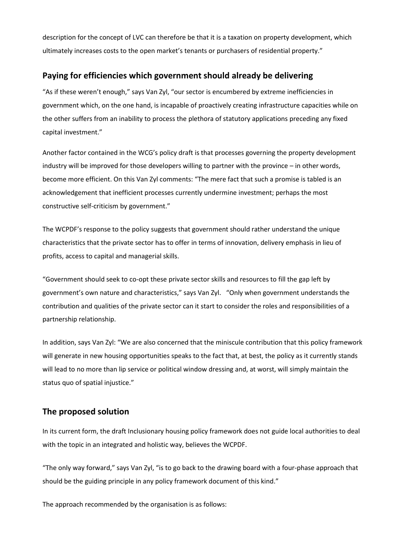description for the concept of LVC can therefore be that it is a taxation on property development, which ultimately increases costs to the open market's tenants or purchasers of residential property."

## **Paying for efficiencies which government should already be delivering**

"As if these weren't enough," says Van Zyl, "our sector is encumbered by extreme inefficiencies in government which, on the one hand, is incapable of proactively creating infrastructure capacities while on the other suffers from an inability to process the plethora of statutory applications preceding any fixed capital investment."

Another factor contained in the WCG's policy draft is that processes governing the property development industry will be improved for those developers willing to partner with the province – in other words, become more efficient. On this Van Zyl comments: "The mere fact that such a promise is tabled is an acknowledgement that inefficient processes currently undermine investment; perhaps the most constructive self-criticism by government."

The WCPDF's response to the policy suggests that government should rather understand the unique characteristics that the private sector has to offer in terms of innovation, delivery emphasis in lieu of profits, access to capital and managerial skills.

"Government should seek to co-opt these private sector skills and resources to fill the gap left by government's own nature and characteristics," says Van Zyl. "Only when government understands the contribution and qualities of the private sector can it start to consider the roles and responsibilities of a partnership relationship.

In addition, says Van Zyl: "We are also concerned that the miniscule contribution that this policy framework will generate in new housing opportunities speaks to the fact that, at best, the policy as it currently stands will lead to no more than lip service or political window dressing and, at worst, will simply maintain the status quo of spatial injustice."

## **The proposed solution**

In its current form, the draft Inclusionary housing policy framework does not guide local authorities to deal with the topic in an integrated and holistic way, believes the WCPDF.

"The only way forward," says Van Zyl, "is to go back to the drawing board with a four-phase approach that should be the guiding principle in any policy framework document of this kind."

The approach recommended by the organisation is as follows: